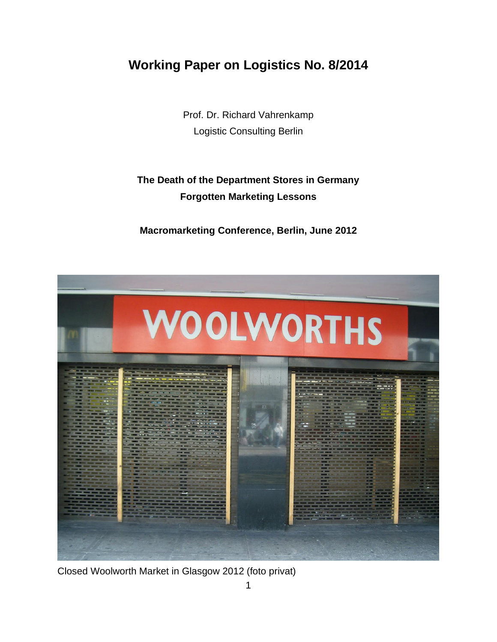## **Working Paper on Logistics No. 8/2014**

Prof. Dr. Richard Vahrenkamp Logistic Consulting Berlin

## **The Death of the Department Stores in Germany Forgotten Marketing Lessons**

**Macromarketing Conference, Berlin, June 2012**



Closed Woolworth Market in Glasgow 2012 (foto privat)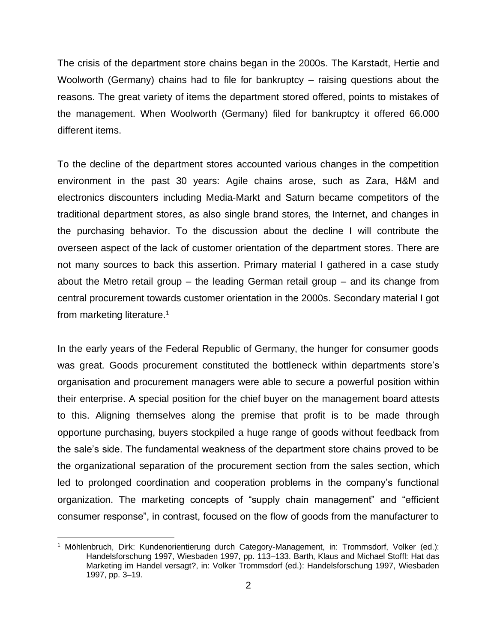The crisis of the department store chains began in the 2000s. The Karstadt, Hertie and Woolworth (Germany) chains had to file for bankruptcy – raising questions about the reasons. The great variety of items the department stored offered, points to mistakes of the management. When Woolworth (Germany) filed for bankruptcy it offered 66.000 different items.

To the decline of the department stores accounted various changes in the competition environment in the past 30 years: Agile chains arose, such as Zara, H&M and electronics discounters including Media-Markt and Saturn became competitors of the traditional department stores, as also single brand stores, the Internet, and changes in the purchasing behavior. To the discussion about the decline I will contribute the overseen aspect of the lack of customer orientation of the department stores. There are not many sources to back this assertion. Primary material I gathered in a case study about the Metro retail group – the leading German retail group – and its change from central procurement towards customer orientation in the 2000s. Secondary material I got from marketing literature.<sup>1</sup>

In the early years of the Federal Republic of Germany, the hunger for consumer goods was great. Goods procurement constituted the bottleneck within departments store's organisation and procurement managers were able to secure a powerful position within their enterprise. A special position for the chief buyer on the management board attests to this. Aligning themselves along the premise that profit is to be made through opportune purchasing, buyers stockpiled a huge range of goods without feedback from the sale's side. The fundamental weakness of the department store chains proved to be the organizational separation of the procurement section from the sales section, which led to prolonged coordination and cooperation problems in the company's functional organization. The marketing concepts of "supply chain management" and "efficient consumer response", in contrast, focused on the flow of goods from the manufacturer to

<sup>&</sup>lt;sup>1</sup> Möhlenbruch, Dirk: Kundenorientierung durch Category-Management, in: Trommsdorf, Volker (ed.): Handelsforschung 1997, Wiesbaden 1997, pp. 113–133. Barth, Klaus and Michael Stoffl: Hat das Marketing im Handel versagt?, in: Volker Trommsdorf (ed.): Handelsforschung 1997, Wiesbaden 1997, pp. 3–19.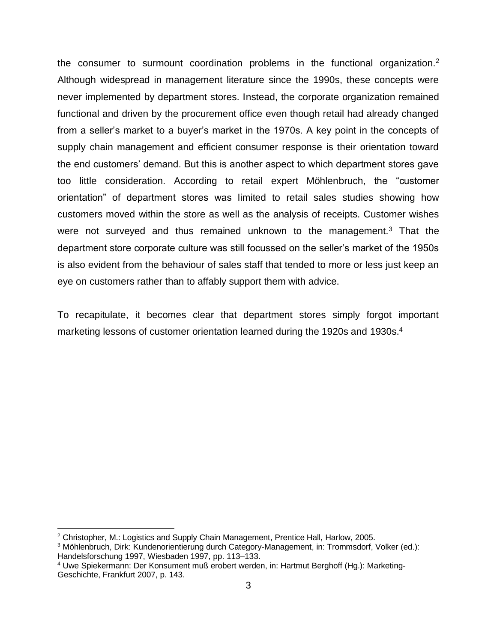the consumer to surmount coordination problems in the functional organization.<sup>2</sup> Although widespread in management literature since the 1990s, these concepts were never implemented by department stores. Instead, the corporate organization remained functional and driven by the procurement office even though retail had already changed from a seller's market to a buyer's market in the 1970s. A key point in the concepts of supply chain management and efficient consumer response is their orientation toward the end customers' demand. But this is another aspect to which department stores gave too little consideration. According to retail expert Möhlenbruch, the "customer orientation" of department stores was limited to retail sales studies showing how customers moved within the store as well as the analysis of receipts. Customer wishes were not surveyed and thus remained unknown to the management.<sup>3</sup> That the department store corporate culture was still focussed on the seller's market of the 1950s is also evident from the behaviour of sales staff that tended to more or less just keep an eye on customers rather than to affably support them with advice.

To recapitulate, it becomes clear that department stores simply forgot important marketing lessons of customer orientation learned during the 1920s and 1930s.<sup>4</sup>

 $2$  Christopher, M.: Logistics and Supply Chain Management, Prentice Hall, Harlow, 2005.

<sup>3</sup> Möhlenbruch, Dirk: Kundenorientierung durch Category-Management, in: Trommsdorf, Volker (ed.): Handelsforschung 1997, Wiesbaden 1997, pp. 113–133.

<sup>4</sup> Uwe Spiekermann: Der Konsument muß erobert werden, in: Hartmut Berghoff (Hg.): Marketing-Geschichte, Frankfurt 2007, p. 143.